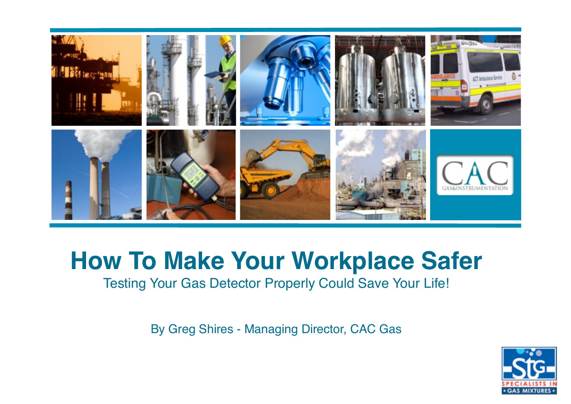

# **How To Make Your Workplace Safer**

Testing Your Gas Detector Properly Could Save Your Life!

By Greg Shires - Managing Director, CAC Gas

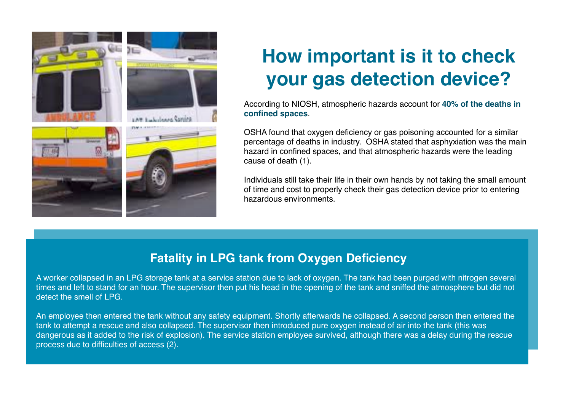

## **How important is it to check your gas detection device?**

According to NIOSH, atmospheric hazards account for **40% of the deaths in confined spaces**.

OSHA found that oxygen deficiency or gas poisoning accounted for a similar percentage of deaths in industry. OSHA stated that asphyxiation was the main hazard in confined spaces, and that atmospheric hazards were the leading cause of death (1).

Individuals still take their life in their own hands by not taking the small amount of time and cost to properly check their gas detection device prior to entering hazardous environments.

## **Fatality in LPG tank from Oxygen Deficiency**

A worker collapsed in an LPG storage tank at a service station due to lack of oxygen. The tank had been purged with nitrogen several times and left to stand for an hour. The supervisor then put his head in the opening of the tank and sniffed the atmosphere but did not detect the smell of LPG.

An employee then entered the tank without any safety equipment. Shortly afterwards he collapsed. A second person then entered the tank to attempt a rescue and also collapsed. The supervisor then introduced pure oxygen instead of air into the tank (this was dangerous as it added to the risk of explosion). The service station employee survived, although there was a delay during the rescue process due to difficulties of access (2).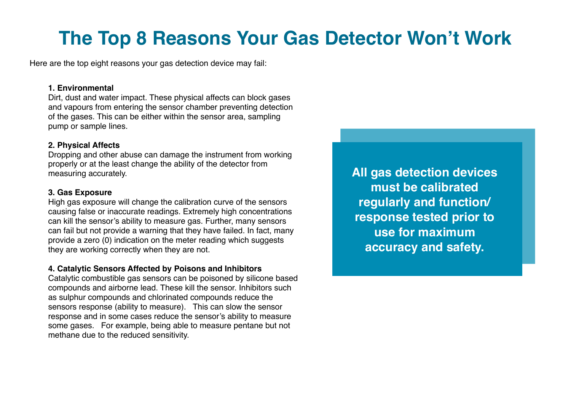## **The Top 8 Reasons Your Gas Detector Won't Work**

Here are the top eight reasons your gas detection device may fail:

#### **1. Environmental**

Dirt, dust and water impact. These physical affects can block gases and vapours from entering the sensor chamber preventing detection of the gases. This can be either within the sensor area, sampling pump or sample lines.

### **2. Physical Affects**

Dropping and other abuse can damage the instrument from working properly or at the least change the ability of the detector from measuring accurately.

### **3. Gas Exposure**

High gas exposure will change the calibration curve of the sensors causing false or inaccurate readings. Extremely high concentrations can kill the sensor's ability to measure gas. Further, many sensors can fail but not provide a warning that they have failed. In fact, many provide a zero (0) indication on the meter reading which suggests they are working correctly when they are not.

#### **4. Catalytic Sensors Affected by Poisons and Inhibitors**

Catalytic combustible gas sensors can be poisoned by silicone based compounds and airborne lead. These kill the sensor. Inhibitors such as sulphur compounds and chlorinated compounds reduce the sensors response (ability to measure). This can slow the sensor response and in some cases reduce the sensor's ability to measure some gases. For example, being able to measure pentane but not methane due to the reduced sensitivity.

**All gas detection devices must be calibrated regularly and function/ response tested prior to use for maximum accuracy and safety.**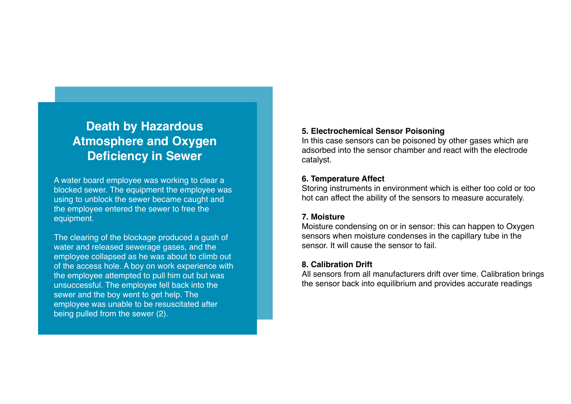## **Death by Hazardous Atmosphere and Oxygen Deficiency in Sewer**

A water board employee was working to clear a blocked sewer. The equipment the employee was using to unblock the sewer became caught and the employee entered the sewer to free the equipment.

The clearing of the blockage produced a gush of water and released sewerage gases, and the employee collapsed as he was about to climb out of the access hole. A boy on work experience with the employee attempted to pull him out but was unsuccessful. The employee fell back into the sewer and the boy went to get help. The employee was unable to be resuscitated after being pulled from the sewer (2).

#### **5. Electrochemical Sensor Poisoning**

In this case sensors can be poisoned by other gases which are adsorbed into the sensor chamber and react with the electrode catalyst.

#### **6. Temperature Affect**

Storing instruments in environment which is either too cold or too hot can affect the ability of the sensors to measure accurately.

### **7. Moisture**

Moisture condensing on or in sensor: this can happen to Oxygen sensors when moisture condenses in the capillary tube in the sensor. It will cause the sensor to fail.

### **8. Calibration Drift**

All sensors from all manufacturers drift over time. Calibration brings the sensor back into equilibrium and provides accurate readings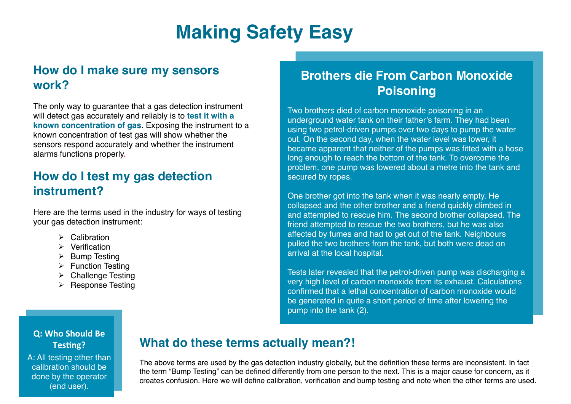## **Making Safety Easy**

## **How do I make sure my sensors work?**

The only way to guarantee that a gas detection instrument will detect gas accurately and reliably is to **test it with a known concentration of gas**. Exposing the instrument to a known concentration of test gas will show whether the sensors respond accurately and whether the instrument alarms functions properly.

## **How do I test my gas detection instrument?**

Here are the terms used in the industry for ways of testing your gas detection instrument:

- $\triangleright$  Calibration
- $\triangleright$  Verification
- $\triangleright$  Bump Testing
- $\triangleright$  Function Testing
- $\triangleright$  Challenge Testing
- $\triangleright$  Response Testing

## **Brothers die From Carbon Monoxide Poisoning**

Two brothers died of carbon monoxide poisoning in an underground water tank on their father's farm. They had been using two petrol-driven pumps over two days to pump the water out. On the second day, when the water level was lower, it became apparent that neither of the pumps was fitted with a hose long enough to reach the bottom of the tank. To overcome the problem, one pump was lowered about a metre into the tank and secured by ropes.

One brother got into the tank when it was nearly empty. He collapsed and the other brother and a friend quickly climbed in and attempted to rescue him. The second brother collapsed. The friend attempted to rescue the two brothers, but he was also affected by fumes and had to get out of the tank. Neighbours pulled the two brothers from the tank, but both were dead on arrival at the local hospital.

Tests later revealed that the petrol-driven pump was discharging a very high level of carbon monoxide from its exhaust. Calculations confirmed that a lethal concentration of carbon monoxide would be generated in quite a short period of time after lowering the pump into the tank (2).

### **Q: Who Should Be** Testing?

A: All testing other than calibration should be done by the operator (end user).

### **What do these terms actually mean?!**

The above terms are used by the gas detection industry globally, but the definition these terms are inconsistent. In fact the term "Bump Testing" can be defined differently from one person to the next. This is a major cause for concern, as it creates confusion. Here we will define calibration, verification and bump testing and note when the other terms are used.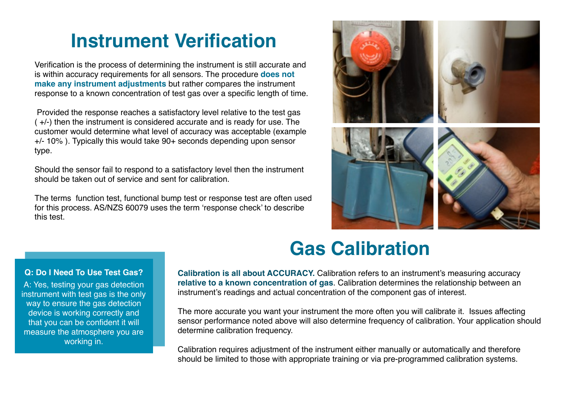## **Instrument Verification**

Verification is the process of determining the instrument is still accurate and is within accuracy requirements for all sensors. The procedure **does not make any instrument adjustments** but rather compares the instrument response to a known concentration of test gas over a specific length of time.

 Provided the response reaches a satisfactory level relative to the test gas ( +/-) then the instrument is considered accurate and is ready for use. The customer would determine what level of accuracy was acceptable (example +/- 10% ). Typically this would take 90+ seconds depending upon sensor type.

Should the sensor fail to respond to a satisfactory level then the instrument should be taken out of service and sent for calibration.

The terms function test, functional bump test or response test are often used for this process. AS/NZS 60079 uses the term 'response check' to describe this test.



## **Gas Calibration**

#### **Q: Do I Need To Use Test Gas?**

A: Yes, testing your gas detection instrument with test gas is the only way to ensure the gas detection device is working correctly and that you can be confident it will measure the atmosphere you are working in.

**Calibration is all about ACCURACY.** Calibration refers to an instrument's measuring accuracy **relative to a known concentration of gas**. Calibration determines the relationship between an instrument's readings and actual concentration of the component gas of interest.

The more accurate you want your instrument the more often you will calibrate it. Issues affecting sensor performance noted above will also determine frequency of calibration. Your application should determine calibration frequency.

Calibration requires adjustment of the instrument either manually or automatically and therefore should be limited to those with appropriate training or via pre-programmed calibration systems.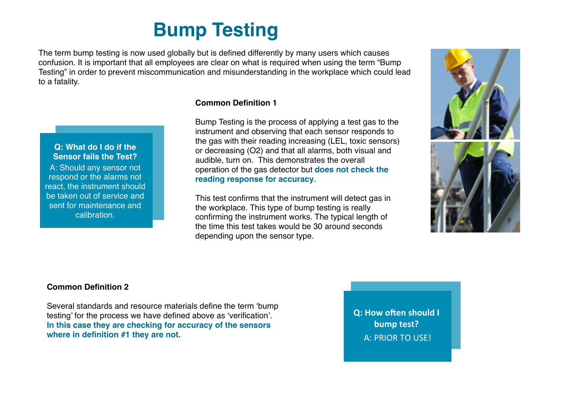## **Bump Testing**

The term bump testing is now used globally but is defined differently by many users which causes confusion. It is important that all employees are clear on what is required when using the term "Bump Testing" in order to prevent miscommunication and misunderstanding in the workplace which could lead to a fatality.



### **Common Definition 1**

Bump Testing is the process of applying a test gas to the instrument and observing that each sensor responds to the gas with their reading increasing (LEL, toxic sensors) or decreasing (O2) and that all alarms, both visual and audible, turn on. This demonstrates the overall operation of the gas detector but **does not check the reading response for accuracy**.

This test confirms that the instrument will detect gas in the workplace. This type of bump testing is really confirming the instrument works. The typical length of the time this test takes would be 30 around seconds depending upon the sensor type.



#### **Common Definition 2**

Several standards and resource materials define the term 'bump testing' for the process we have defined above as 'verification'. **In this case they are checking for accuracy of the sensors where in definition #1 they are not.**

**Q: How often should I bump test?** A: PRIOR TO USE!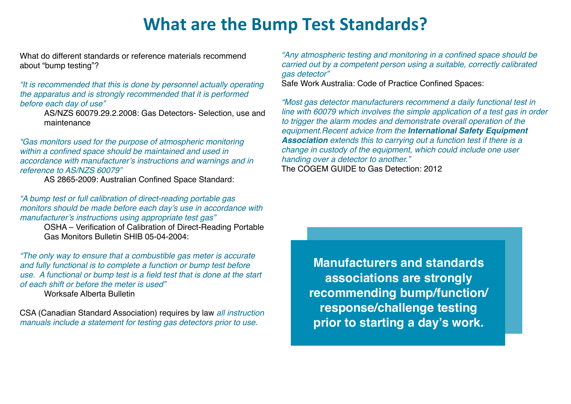## **What are the Bump Test Standards?**

What do different standards or reference materials recommend about "bump testing"?

*"It is recommended that this is done by personnel actually operating the apparatus and is strongly recommended that it is performed before each day of use"*

AS/NZS 60079.29.2.2008: Gas Detectors- Selection, use and maintenance

*"Gas monitors used for the purpose of atmospheric monitoring within a confined space should be maintained and used in accordance with manufacturer's instructions and warnings and in reference to AS/NZS 60079"*

AS 2865-2009: Australian Confined Space Standard:

*"A bump test or full calibration of direct-reading portable gas monitors should be made before each day's use in accordance with manufacturer's instructions using appropriate test gas"*

OSHA – Verification of Calibration of Direct-Reading Portable Gas Monitors Bulletin SHIB 05-04-2004:

*"The only way to ensure that a combustible gas meter is accurate and fully functional is to complete a function or bump test before use. A functional or bump test is a field test that is done at the start of each shift or before the meter is used"* Worksafe Alberta Bulletin

CSA (Canadian Standard Association) requires by law *all instruction manuals include a statement for testing gas detectors prior to use.*

*"Any atmospheric testing and monitoring in a confined space should be carried out by a competent person using a suitable, correctly calibrated gas detector"*

Safe Work Australia: Code of Practice Confined Spaces:

*"Most gas detector manufacturers recommend a daily functional test in line with 60079 which involves the simple application of a test gas in order to trigger the alarm modes and demonstrate overall operation of the equipment.Recent advice from the International Safety Equipment Association extends this to carrying out a function test if there is a change in custody of the equipment, which could include one user handing over a detector to another."* The COGEM GUIDE to Gas Detection: 2012

**Manufacturers and standards associations are strongly recommending bump/function/ response/challenge testing prior to starting a day's work.**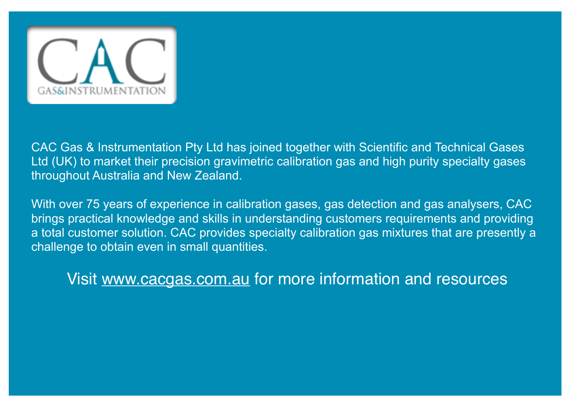

CAC Gas & Instrumentation Pty Ltd has joined together with Scientific and Technical Gases Ltd (UK) to market their precision gravimetric calibration gas and high purity specialty gases throughout Australia and New Zealand.

With over 75 years of experience in calibration gases, gas detection and gas analysers, CAC brings practical knowledge and skills in understanding customers requirements and providing a total customer solution. CAC provides specialty calibration gas mixtures that are presently a challenge to obtain even in small quantities.

Visit [www.cacgas.com.au](http://www.cacgas.com.au) for more information and resources